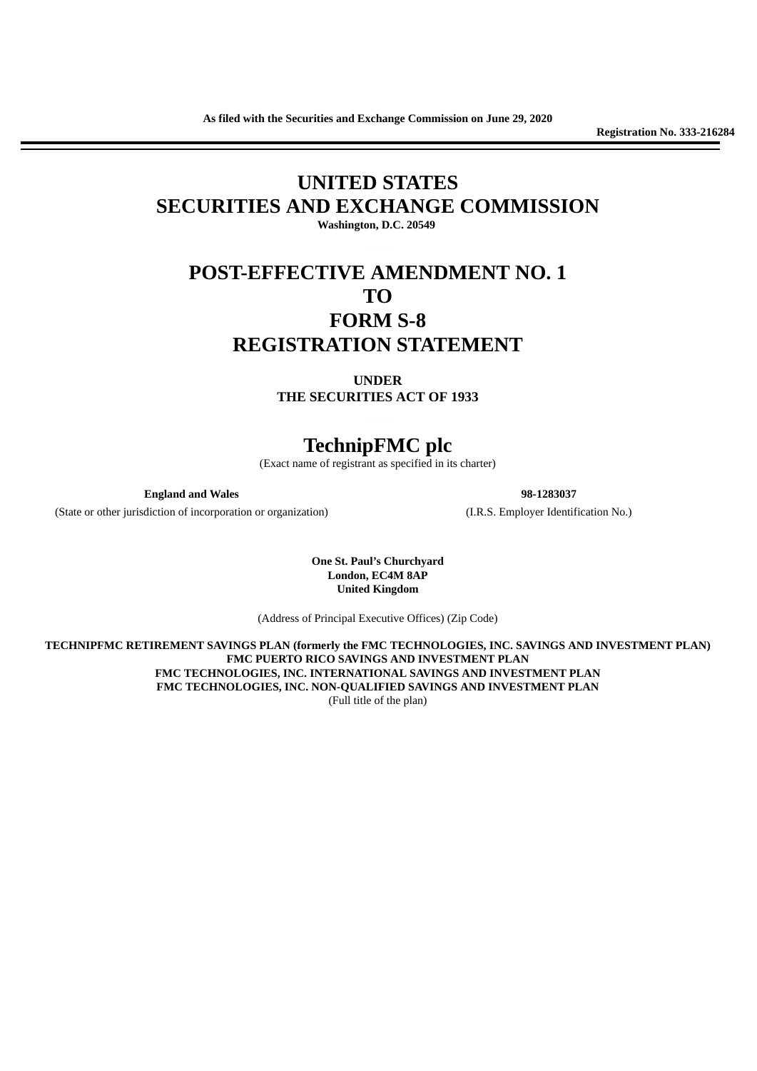**Registration No. 333-216284**

# **UNITED STATES SECURITIES AND EXCHANGE COMMISSION**

**Washington, D.C. 20549**

## **POST-EFFECTIVE AMENDMENT NO. 1 TO FORM S-8 REGISTRATION STATEMENT**

**UNDER THE SECURITIES ACT OF 1933**

### **TechnipFMC plc**

(Exact name of registrant as specified in its charter)

**England and Wales 98-1283037**

(State or other jurisdiction of incorporation or organization) (I.R.S. Employer Identification No.)

**One St. Paul's Churchyard London, EC4M 8AP United Kingdom**

(Address of Principal Executive Offices) (Zip Code)

**TECHNIPFMC RETIREMENT SAVINGS PLAN (formerly the FMC TECHNOLOGIES, INC. SAVINGS AND INVESTMENT PLAN) FMC PUERTO RICO SAVINGS AND INVESTMENT PLAN FMC TECHNOLOGIES, INC. INTERNATIONAL SAVINGS AND INVESTMENT PLAN FMC TECHNOLOGIES, INC. NON-QUALIFIED SAVINGS AND INVESTMENT PLAN** (Full title of the plan)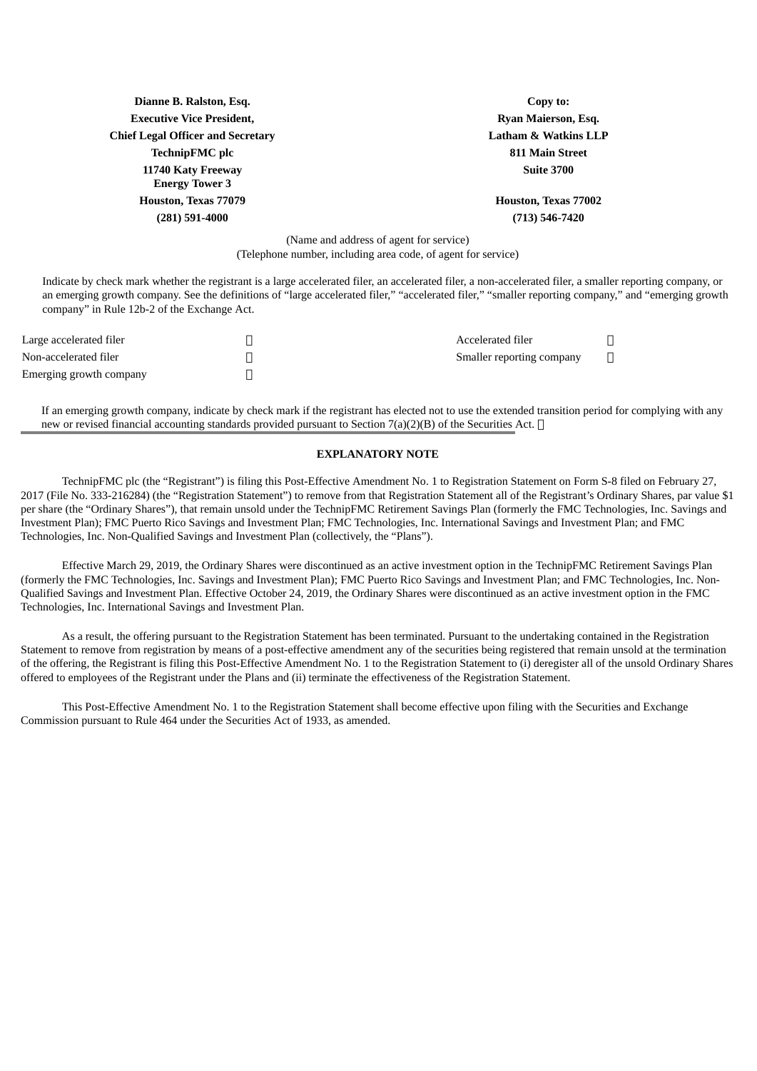| Dianne B. Ralston, Esq.                     | Copy to:                        |
|---------------------------------------------|---------------------------------|
| <b>Executive Vice President,</b>            | <b>Ryan Maierson, Esq.</b>      |
| <b>Chief Legal Officer and Secretary</b>    | <b>Latham &amp; Watkins LLP</b> |
| <b>TechnipFMC</b> plc                       | <b>811 Main Street</b>          |
| 11740 Katy Freeway<br><b>Energy Tower 3</b> | <b>Suite 3700</b>               |
| Houston, Texas 77079                        | Houston, Texas 77002            |
| (281) 591-4000                              | $(713) 546 - 7420$              |
|                                             |                                 |

(Name and address of agent for service) (Telephone number, including area code, of agent for service)

Indicate by check mark whether the registrant is a large accelerated filer, an accelerated filer, a non-accelerated filer, a smaller reporting company, or an emerging growth company. See the definitions of "large accelerated filer," "accelerated filer," "smaller reporting company," and "emerging growth company" in Rule 12b-2 of the Exchange Act.

| Large accelerated filer | Accelerated filer         |  |
|-------------------------|---------------------------|--|
| Non-accelerated filer   | Smaller reporting company |  |
| Emerging growth company |                           |  |

If an emerging growth company, indicate by check mark if the registrant has elected not to use the extended transition period for complying with any new or revised financial accounting standards provided pursuant to Section 7(a)(2)(B) of the Securities Act.  $\Box$ 

### **EXPLANATORY NOTE**

TechnipFMC plc (the "Registrant") is filing this Post-Effective Amendment No. 1 to Registration Statement on Form S-8 filed on February 27, 2017 (File No. 333-216284) (the "Registration Statement") to remove from that Registration Statement all of the Registrant's Ordinary Shares, par value \$1 per share (the "Ordinary Shares"), that remain unsold under the TechnipFMC Retirement Savings Plan (formerly the FMC Technologies, Inc. Savings and Investment Plan); FMC Puerto Rico Savings and Investment Plan; FMC Technologies, Inc. International Savings and Investment Plan; and FMC Technologies, Inc. Non-Qualified Savings and Investment Plan (collectively, the "Plans").

Effective March 29, 2019, the Ordinary Shares were discontinued as an active investment option in the TechnipFMC Retirement Savings Plan (formerly the FMC Technologies, Inc. Savings and Investment Plan); FMC Puerto Rico Savings and Investment Plan; and FMC Technologies, Inc. Non-Qualified Savings and Investment Plan. Effective October 24, 2019, the Ordinary Shares were discontinued as an active investment option in the FMC Technologies, Inc. International Savings and Investment Plan.

As a result, the offering pursuant to the Registration Statement has been terminated. Pursuant to the undertaking contained in the Registration Statement to remove from registration by means of a post-effective amendment any of the securities being registered that remain unsold at the termination of the offering, the Registrant is filing this Post-Effective Amendment No. 1 to the Registration Statement to (i) deregister all of the unsold Ordinary Shares offered to employees of the Registrant under the Plans and (ii) terminate the effectiveness of the Registration Statement.

This Post-Effective Amendment No. 1 to the Registration Statement shall become effective upon filing with the Securities and Exchange Commission pursuant to Rule 464 under the Securities Act of 1933, as amended.